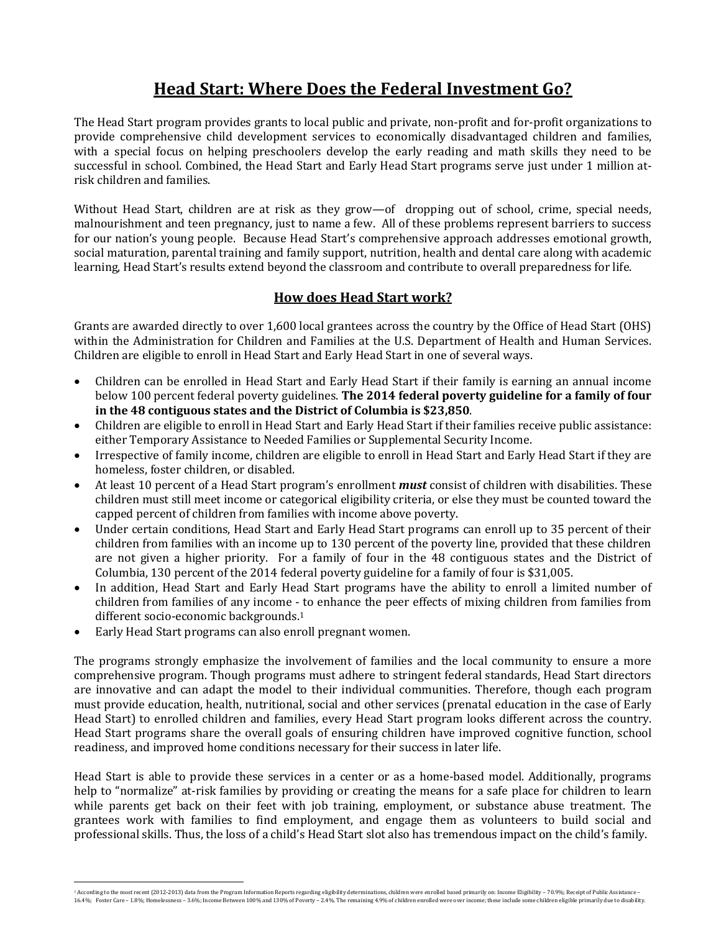## **Head Start: Where Does the Federal Investment Go?**

The Head Start program provides grants to local public and private, non-profit and for-profit organizations to provide comprehensive child development services to economically disadvantaged children and families, with a special focus on helping preschoolers develop the early reading and math skills they need to be successful in school. Combined, the Head Start and Early Head Start programs serve just under 1 million atrisk children and families.

Without Head Start, children are at risk as they grow—of dropping out of school, crime, special needs, malnourishment and teen pregnancy, just to name a few. All of these problems represent barriers to success for our nation's young people. Because Head Start's comprehensive approach addresses emotional growth, social maturation, parental training and family support, nutrition, health and dental care along with academic learning, Head Start's results extend beyond the classroom and contribute to overall preparedness for life.

## **How does Head Start work?**

Grants are awarded directly to over 1,600 local grantees across the country by the Office of Head Start (OHS) within the Administration for Children and Families at the U.S. Department of Health and Human Services. Children are eligible to enroll in Head Start and Early Head Start in one of several ways.

- Children can be enrolled in Head Start and Early Head Start if their family is earning an annual income below 100 percent federal poverty guidelines. **The 2014 federal poverty guideline for a family of four in the 48 contiguous states and the District of Columbia is \$23,850**.
- Children are eligible to enroll in Head Start and Early Head Start if their families receive public assistance: either Temporary Assistance to Needed Families or Supplemental Security Income.
- Irrespective of family income, children are eligible to enroll in Head Start and Early Head Start if they are homeless, foster children, or disabled.
- At least 10 percent of a Head Start program's enrollment *must* consist of children with disabilities. These children must still meet income or categorical eligibility criteria, or else they must be counted toward the capped percent of children from families with income above poverty.
- Under certain conditions, Head Start and Early Head Start programs can enroll up to 35 percent of their children from families with an income up to 130 percent of the poverty line, provided that these children are not given a higher priority. For a family of four in the 48 contiguous states and the District of Columbia, 130 percent of the 2014 federal poverty guideline for a family of four is \$31,005.
- In addition, Head Start and Early Head Start programs have the ability to enroll a limited number of children from families of any income - to enhance the peer effects of mixing children from families from different socio-economic backgrounds. 1
- Early Head Start programs can also enroll pregnant women.

The programs strongly emphasize the involvement of families and the local community to ensure a more comprehensive program. Though programs must adhere to stringent federal standards, Head Start directors are innovative and can adapt the model to their individual communities. Therefore, though each program must provide education, health, nutritional, social and other services (prenatal education in the case of Early Head Start) to enrolled children and families, every Head Start program looks different across the country. Head Start programs share the overall goals of ensuring children have improved cognitive function, school readiness, and improved home conditions necessary for their success in later life.

Head Start is able to provide these services in a center or as a home-based model. Additionally, programs help to "normalize" at-risk families by providing or creating the means for a safe place for children to learn while parents get back on their feet with job training, employment, or substance abuse treatment. The grantees work with families to find employment, and engage them as volunteers to build social and professional skills. Thus, the loss of a child's Head Start slot also has tremendous impact on the child's family.

 <sup>1</sup> According to the most recent (2012-2013) data from the Program Information Reports regarding eligibility determinations, children were enrolled based primarily on: Income Eligibility – 70.9%; Receipt of Public Assistance – 16.4%; Foster Care – 1.8%; Homelessness – 3.6%; Income Between 100% and 130% of Poverty – 2.4%. The remaining 4.9% of children enrolled were over income; these include some children eligible primarily due to disability.